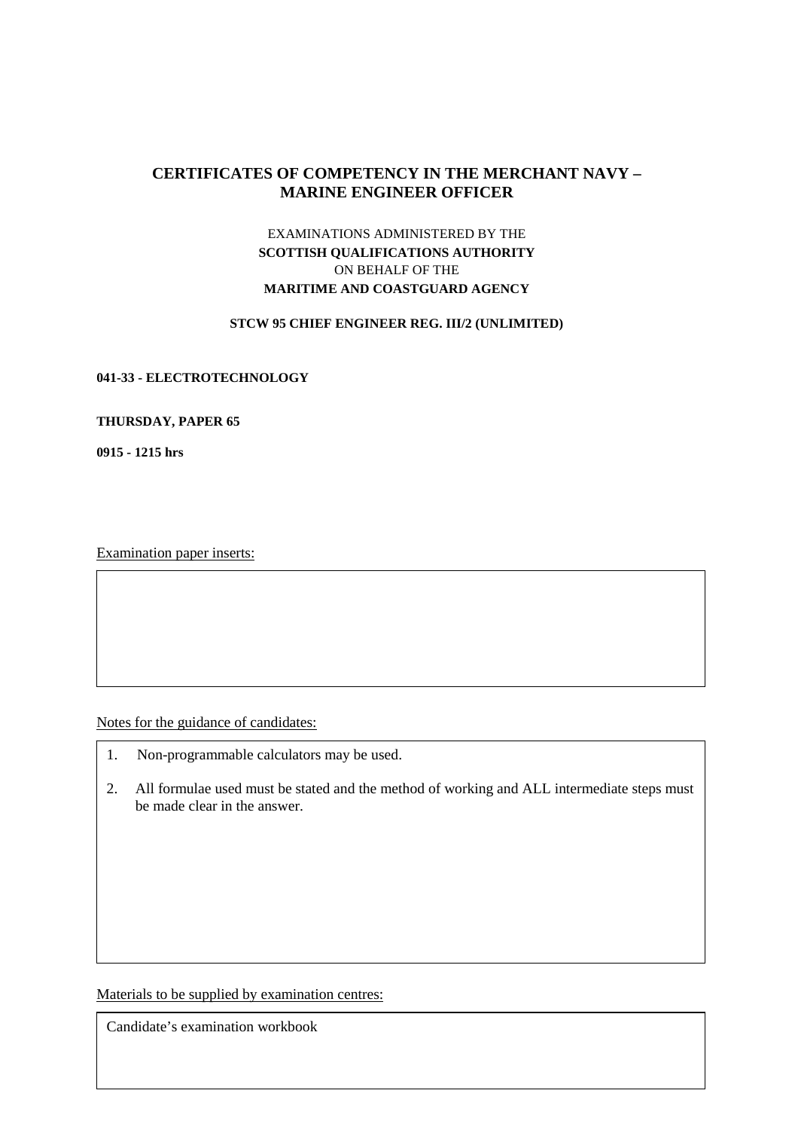# **CERTIFICATES OF COMPETENCY IN THE MERCHANT NAVY – MARINE ENGINEER OFFICER**

# EXAMINATIONS ADMINISTERED BY THE **SCOTTISH QUALIFICATIONS AUTHORITY**  ON BEHALF OF THE **MARITIME AND COASTGUARD AGENCY**

### **STCW 95 CHIEF ENGINEER REG. III/2 (UNLIMITED)**

### **041-33 - ELECTROTECHNOLOGY**

#### **THURSDAY, PAPER 65**

**0915 - 1215 hrs** 

Examination paper inserts:

Notes for the guidance of candidates:

- 1. Non-programmable calculators may be used.
- 2. All formulae used must be stated and the method of working and ALL intermediate steps must be made clear in the answer.

Materials to be supplied by examination centres:

Candidate's examination workbook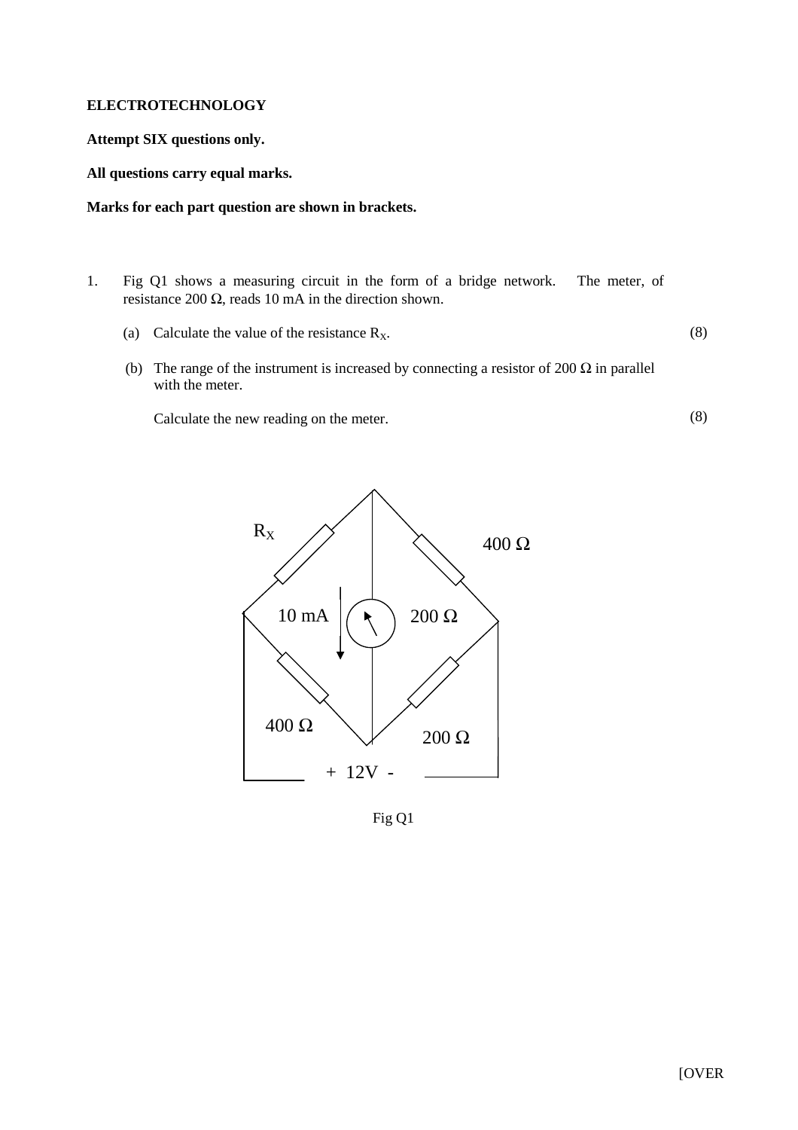### **ELECTROTECHNOLOGY**

## **Attempt SIX questions only.**

## **All questions carry equal marks.**

## **Marks for each part question are shown in brackets.**

- 1. Fig Q1 shows a measuring circuit in the form of a bridge network. The meter, of resistance 200  $\Omega$ , reads 10 mA in the direction shown.
	- (a) Calculate the value of the resistance  $R_X$ .

(8)

(8)

(b) The range of the instrument is increased by connecting a resistor of 200  $\Omega$  in parallel with the meter.

Calculate the new reading on the meter.



Fig Q1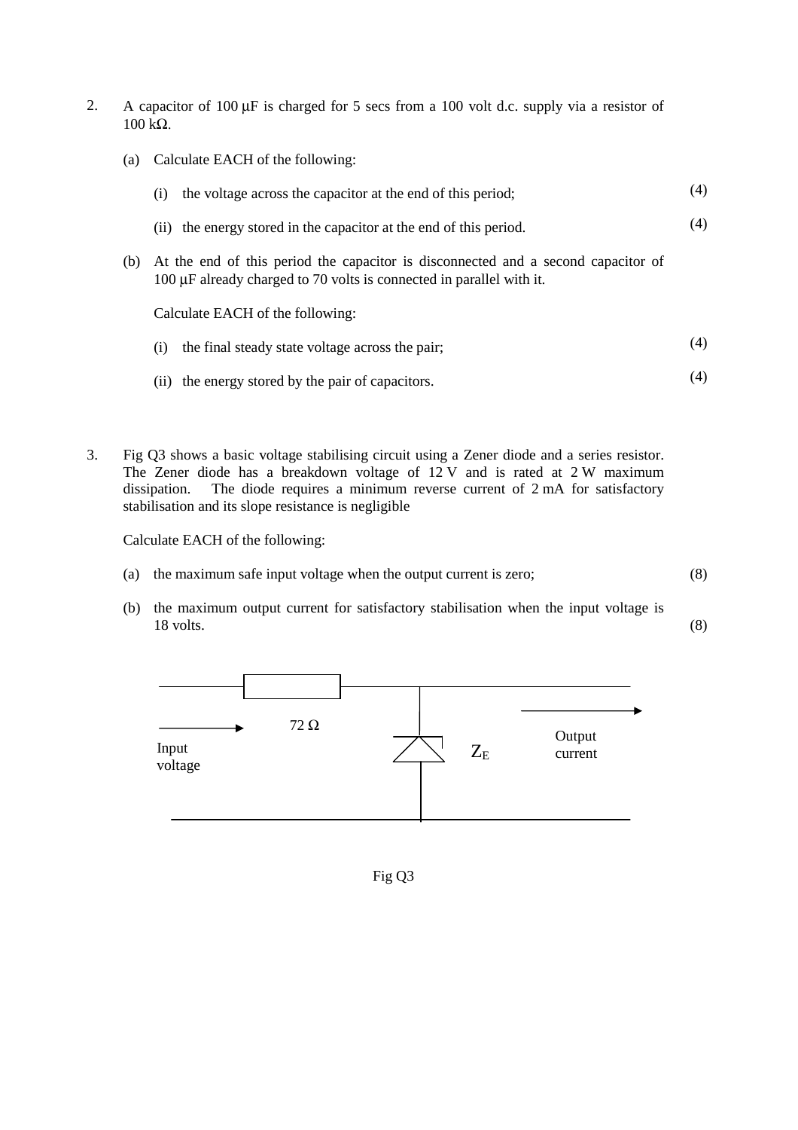- 2. A capacitor of 100 μF is charged for 5 secs from a 100 volt d.c. supply via a resistor of  $100$  kΩ.
	- (a) Calculate EACH of the following:

|     | the voltage across the capacitor at the end of this period;<br>(1)                                                                                        | (4) |
|-----|-----------------------------------------------------------------------------------------------------------------------------------------------------------|-----|
|     | the energy stored in the capacitor at the end of this period.<br>(11)                                                                                     | (4) |
| (b) | At the end of this period the capacitor is disconnected and a second capacitor of<br>100 µF already charged to 70 volts is connected in parallel with it. |     |
|     | Calculate EACH of the following:                                                                                                                          |     |
|     | the final steady state voltage across the pair;<br>(1)                                                                                                    | (4) |

- (ii) the energy stored by the pair of capacitors. (4)
- 3. Fig Q3 shows a basic voltage stabilising circuit using a Zener diode and a series resistor. The Zener diode has a breakdown voltage of 12 V and is rated at 2 W maximum dissipation. The diode requires a minimum reverse current of 2 mA for satisfactory stabilisation and its slope resistance is negligible

Calculate EACH of the following:

- (a) the maximum safe input voltage when the output current is zero; (8)
- (b) the maximum output current for satisfactory stabilisation when the input voltage is 18 volts. (8)



Fig Q3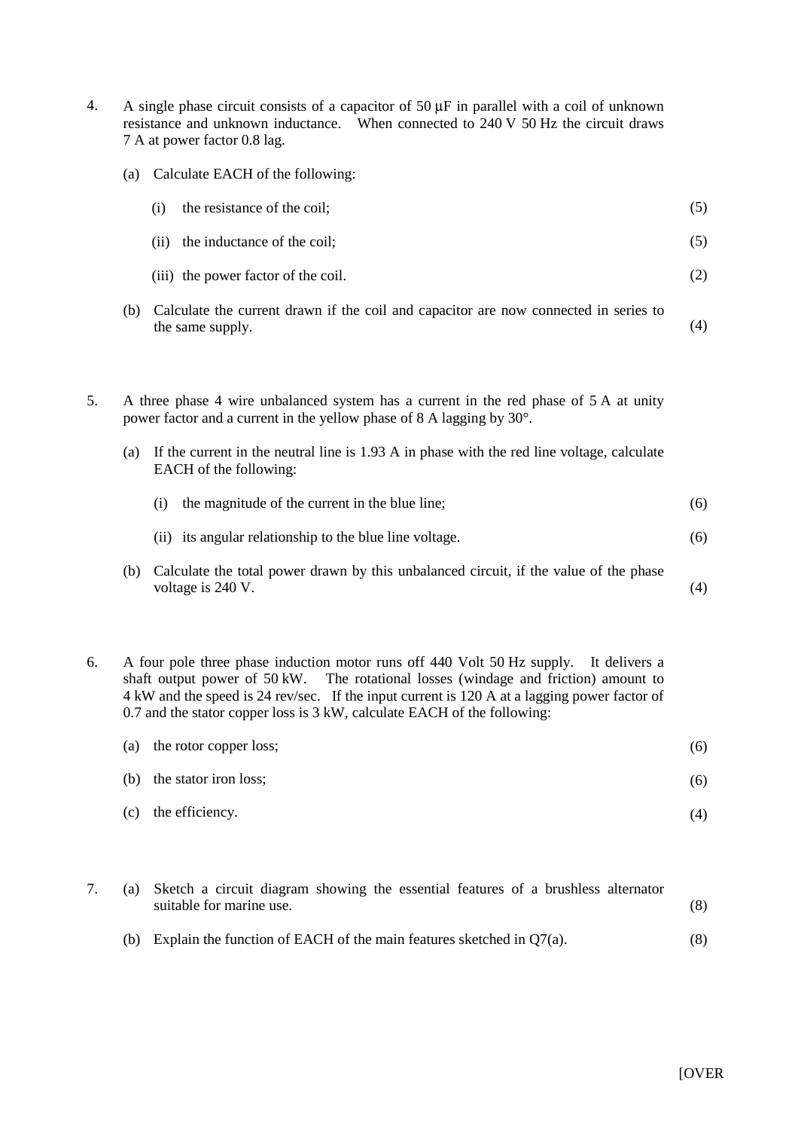- 4. A single phase circuit consists of a capacitor of 50 μF in parallel with a coil of unknown resistance and unknown inductance. When connected to 240 V 50 Hz the circuit draws 7 A at power factor 0.8 lag.
	- (a) Calculate EACH of the following:

| (i)  | the resistance of the coil;         | (5) |
|------|-------------------------------------|-----|
| (11) | the inductance of the coil;         | (5) |
|      | (iii) the power factor of the coil. | (2) |

- (b) Calculate the current drawn if the coil and capacitor are now connected in series to the same supply. (4)
- 5. A three phase 4 wire unbalanced system has a current in the red phase of 5 A at unity power factor and a current in the yellow phase of 8 A lagging by 30°.
	- (a) If the current in the neutral line is 1.93 A in phase with the red line voltage, calculate EACH of the following:

|  | (i) the magnitude of the current in the blue line; |  |
|--|----------------------------------------------------|--|
|--|----------------------------------------------------|--|

- (ii) its angular relationship to the blue line voltage. (6)
- (b) Calculate the total power drawn by this unbalanced circuit, if the value of the phase voltage is 240 V. (4)
- 6. A four pole three phase induction motor runs off 440 Volt 50 Hz supply. It delivers a shaft output power of 50 kW. The rotational losses (windage and friction) amount to 4 kW and the speed is 24 rev/sec. If the input current is 120 A at a lagging power factor of 0.7 and the stator copper loss is 3 kW, calculate EACH of the following:

| (a) | the rotor copper loss;    | (6) |
|-----|---------------------------|-----|
|     | (b) the stator iron loss; | (6) |
|     | (c) the efficiency.       | (4) |

7. (a) Sketch a circuit diagram showing the essential features of a brushless alternator suitable for marine use. (b) Explain the function of EACH of the main features sketched in Q7(a). (8) (8)